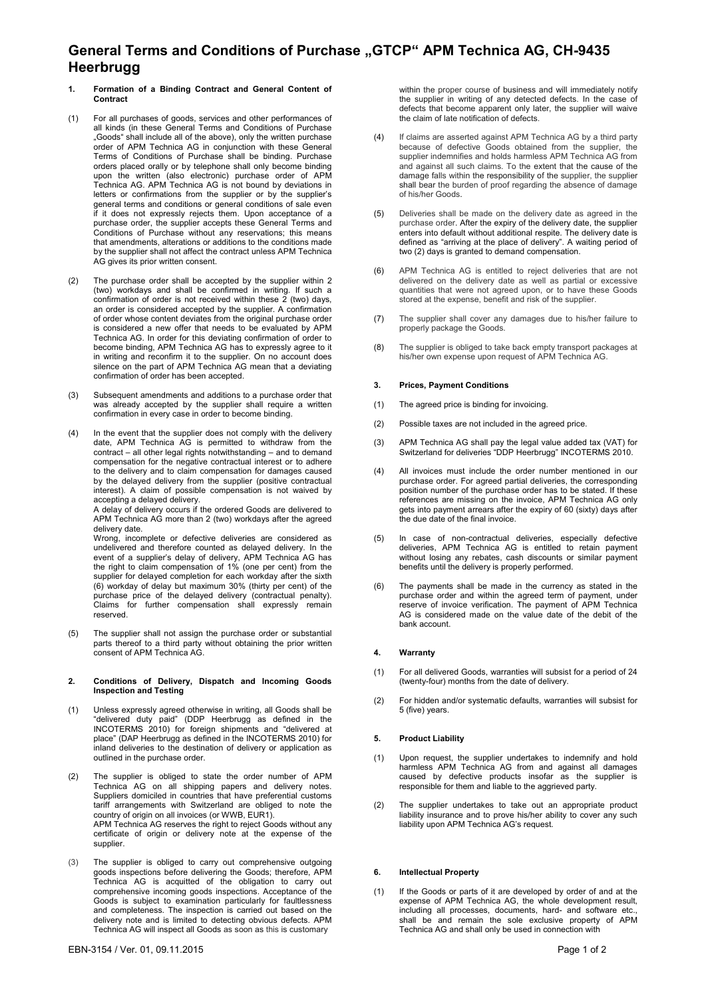# **General Terms and Conditions of Purchase "GTCP" APM Technica AG, CH-9435 Heerbrugg**

- **1. Formation of a Binding Contract and General Content of Contract**
- (1) For all purchases of goods, services and other performances of all kinds (in these General Terms and Conditions of Purchase "Goods" shall include all of the above), only the written purchase order of APM Technica AG in conjunction with these General Terms of Conditions of Purchase shall be binding. Purchase orders placed orally or by telephone shall only become binding upon the written (also electronic) purchase order of APM Technica AG. APM Technica AG is not bound by deviations in letters or confirmations from the supplier or by the supplier's general terms and conditions or general conditions of sale even if it does not expressly rejects them. Upon acceptance of a purchase order, the supplier accepts these General Terms and Conditions of Purchase without any reservations; this means that amendments, alterations or additions to the conditions made by the supplier shall not affect the contract unless APM Technica AG gives its prior written consent.
- (2) The purchase order shall be accepted by the supplier within 2 (two) workdays and shall be confirmed in writing. If such a confirmation of order is not received within these  $\tilde{2}$  (two) days, an order is considered accepted by the supplier. A confirmation of order whose content deviates from the original purchase order is considered a new offer that needs to be evaluated by APM Technica AG. In order for this deviating confirmation of order to become binding, APM Technica AG has to expressly agree to it in writing and reconfirm it to the supplier. On no account does silence on the part of APM Technica AG mean that a deviating confirmation of order has been accepted.
- (3) Subsequent amendments and additions to a purchase order that was already accepted by the supplier shall require a written confirmation in every case in order to become binding.
- (4) In the event that the supplier does not comply with the delivery date, APM Technica AG is permitted to withdraw from the contract – all other legal rights notwithstanding – and to demand compensation for the negative contractual interest or to adhere to the delivery and to claim compensation for damages caused by the delayed delivery from the supplier (positive contractual interest). A claim of possible compensation is not waived by accepting a delayed delivery.

A delay of delivery occurs if the ordered Goods are delivered to APM Technica AG more than 2 (two) workdays after the agreed delivery date.

Wrong, incomplete or defective deliveries are considered as undelivered and therefore counted as delayed delivery. In the event of a supplier's delay of delivery, APM Technica AG has the right to claim compensation of 1% (one per cent) from the supplier for delayed completion for each workday after the sixth (6) workday of delay but maximum 30% (thirty per cent) of the purchase price of the delayed delivery (contractual penalty). Claims for further compensation shall expressly remain reserved.

(5) The supplier shall not assign the purchase order or substantial parts thereof to a third party without obtaining the prior written consent of APM Technica AG.

#### **2. Conditions of Delivery, Dispatch and Incoming Goods Inspection and Testing**

- (1) Unless expressly agreed otherwise in writing, all Goods shall be "delivered duty paid" (DDP Heerbrugg as defined in the INCOTERMS 2010) for foreign shipments and "delivered at place" (DAP Heerbrugg as defined in the INCOTERMS 2010) for inland deliveries to the destination of delivery or application as outlined in the purchase order.
- (2) The supplier is obliged to state the order number of APM Technica AG on all shipping papers and delivery notes. Suppliers domiciled in countries that have preferential customs tariff arrangements with Switzerland are obliged to note the country of origin on all invoices (or WWB, EUR1). APM Technica AG reserves the right to reject Goods without any certificate of origin or delivery note at the expense of the supplier.
- (3) The supplier is obliged to carry out comprehensive outgoing goods inspections before delivering the Goods; therefore, APM Technica AG is acquitted of the obligation to carry out comprehensive incoming goods inspections. Acceptance of the Goods is subject to examination particularly for faultlessness and completeness. The inspection is carried out based on the delivery note and is limited to detecting obvious defects. APM Technica AG will inspect all Goods as soon as this is customary

within the proper course of business and will immediately notify the supplier in writing of any detected defects. In the case of defects that become apparent only later, the supplier will waive the claim of late notification of defects.

- (4) If claims are asserted against APM Technica AG by a third party because of defective Goods obtained from the supplier, the supplier indemnifies and holds harmless APM Technica AG from and against all such claims. To the extent that the cause of the damage falls within the responsibility of the supplier, the supplier shall bear the burden of proof regarding the absence of damage of his/her Goods.
- (5) Deliveries shall be made on the delivery date as agreed in the purchase order. After the expiry of the delivery date, the supplier enters into default without additional respite. The delivery date is defined as "arriving at the place of delivery". A waiting period of two (2) days is granted to demand compensation.
- (6) APM Technica AG is entitled to reject deliveries that are not delivered on the delivery date as well as partial or excessive quantities that were not agreed upon, or to have these Goods stored at the expense, benefit and risk of the supplier.
- (7) The supplier shall cover any damages due to his/her failure to properly package the Goods.
- (8) The supplier is obliged to take back empty transport packages at his/her own expense upon request of APM Technica AG.

## **3. Prices, Payment Conditions**

- (1) The agreed price is binding for invoicing.
- (2) Possible taxes are not included in the agreed price.
- (3) APM Technica AG shall pay the legal value added tax (VAT) for Switzerland for deliveries "DDP Heerbrugg" INCOTERMS 2010.
- (4) All invoices must include the order number mentioned in our purchase order. For agreed partial deliveries, the corresponding position number of the purchase order has to be stated. If these references are missing on the invoice, APM Technica AG only gets into payment arrears after the expiry of 60 (sixty) days after the due date of the final invoice.
- (5) In case of non-contractual deliveries, especially defective deliveries, APM Technica AG is entitled to retain payment without losing any rebates, cash discounts or similar payment benefits until the delivery is properly performed.
- (6) The payments shall be made in the currency as stated in the purchase order and within the agreed term of payment, under reserve of invoice verification. The payment of APM Technica AG is considered made on the value date of the debit of the bank account.

## **4. Warranty**

- (1) For all delivered Goods, warranties will subsist for a period of 24 (twenty-four) months from the date of delivery.
- (2) For hidden and/or systematic defaults, warranties will subsist for 5 (five) years.

## **5. Product Liability**

- (1) Upon request, the supplier undertakes to indemnify and hold harmless APM Technica AG from and against all damages caused by defective products insofar as the supplier is responsible for them and liable to the aggrieved party.
- (2) The supplier undertakes to take out an appropriate product liability insurance and to prove his/her ability to cover any such liability upon APM Technica AG's request.

## **6. Intellectual Property**

(1) If the Goods or parts of it are developed by order of and at the expense of APM Technica AG, the whole development result, including all processes, documents, hard- and software etc., shall be and remain the sole exclusive property of APM Technica AG and shall only be used in connection with